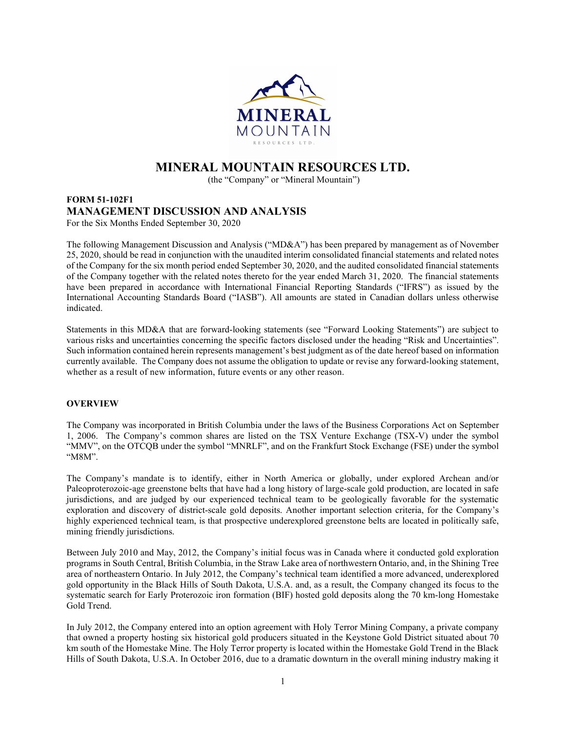

# MINERAL MOUNTAIN RESOURCES LTD.

(the "Company" or "Mineral Mountain")

## FORM 51-102F1 MANAGEMENT DISCUSSION AND ANALYSIS For the Six Months Ended September 30, 2020

The following Management Discussion and Analysis ("MD&A") has been prepared by management as of November 25, 2020, should be read in conjunction with the unaudited interim consolidated financial statements and related notes of the Company for the six month period ended September 30, 2020, and the audited consolidated financial statements of the Company together with the related notes thereto for the year ended March 31, 2020. The financial statements have been prepared in accordance with International Financial Reporting Standards ("IFRS") as issued by the International Accounting Standards Board ("IASB"). All amounts are stated in Canadian dollars unless otherwise indicated.

Statements in this MD&A that are forward-looking statements (see "Forward Looking Statements") are subject to various risks and uncertainties concerning the specific factors disclosed under the heading "Risk and Uncertainties". Such information contained herein represents management's best judgment as of the date hereof based on information currently available. The Company does not assume the obligation to update or revise any forward-looking statement, whether as a result of new information, future events or any other reason.

## **OVERVIEW**

The Company was incorporated in British Columbia under the laws of the Business Corporations Act on September 1, 2006. The Company's common shares are listed on the TSX Venture Exchange (TSX-V) under the symbol "MMV", on the OTCQB under the symbol "MNRLF", and on the Frankfurt Stock Exchange (FSE) under the symbol "M8M".

The Company's mandate is to identify, either in North America or globally, under explored Archean and/or Paleoproterozoic-age greenstone belts that have had a long history of large-scale gold production, are located in safe jurisdictions, and are judged by our experienced technical team to be geologically favorable for the systematic exploration and discovery of district-scale gold deposits. Another important selection criteria, for the Company's highly experienced technical team, is that prospective underexplored greenstone belts are located in politically safe, mining friendly jurisdictions.

Between July 2010 and May, 2012, the Company's initial focus was in Canada where it conducted gold exploration programs in South Central, British Columbia, in the Straw Lake area of northwestern Ontario, and, in the Shining Tree area of northeastern Ontario. In July 2012, the Company's technical team identified a more advanced, underexplored gold opportunity in the Black Hills of South Dakota, U.S.A. and, as a result, the Company changed its focus to the systematic search for Early Proterozoic iron formation (BIF) hosted gold deposits along the 70 km-long Homestake Gold Trend.

In July 2012, the Company entered into an option agreement with Holy Terror Mining Company, a private company that owned a property hosting six historical gold producers situated in the Keystone Gold District situated about 70 km south of the Homestake Mine. The Holy Terror property is located within the Homestake Gold Trend in the Black Hills of South Dakota, U.S.A. In October 2016, due to a dramatic downturn in the overall mining industry making it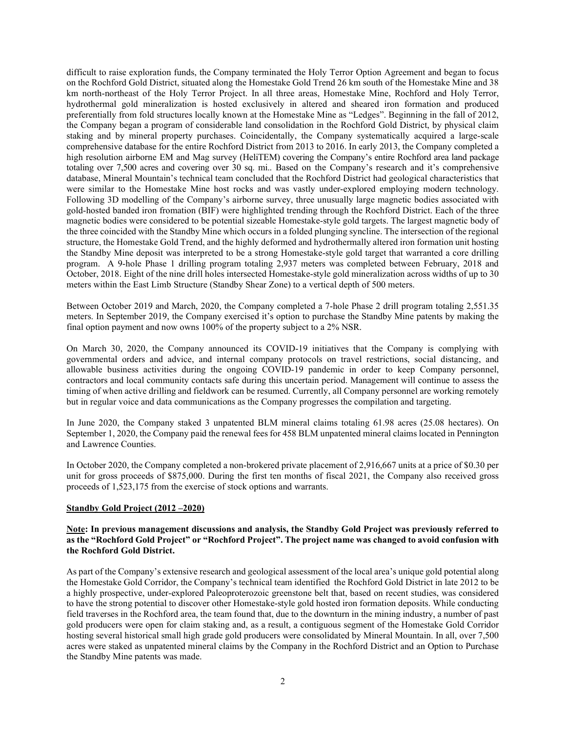difficult to raise exploration funds, the Company terminated the Holy Terror Option Agreement and began to focus on the Rochford Gold District, situated along the Homestake Gold Trend 26 km south of the Homestake Mine and 38 km north-northeast of the Holy Terror Project. In all three areas, Homestake Mine, Rochford and Holy Terror, hydrothermal gold mineralization is hosted exclusively in altered and sheared iron formation and produced preferentially from fold structures locally known at the Homestake Mine as "Ledges". Beginning in the fall of 2012, the Company began a program of considerable land consolidation in the Rochford Gold District, by physical claim staking and by mineral property purchases. Coincidentally, the Company systematically acquired a large-scale comprehensive database for the entire Rochford District from 2013 to 2016. In early 2013, the Company completed a high resolution airborne EM and Mag survey (HeliTEM) covering the Company's entire Rochford area land package totaling over 7,500 acres and covering over 30 sq. mi.. Based on the Company's research and it's comprehensive database, Mineral Mountain's technical team concluded that the Rochford District had geological characteristics that were similar to the Homestake Mine host rocks and was vastly under-explored employing modern technology. Following 3D modelling of the Company's airborne survey, three unusually large magnetic bodies associated with gold-hosted banded iron fromation (BIF) were highlighted trending through the Rochford District. Each of the three magnetic bodies were considered to be potential sizeable Homestake-style gold targets. The largest magnetic body of the three coincided with the Standby Mine which occurs in a folded plunging syncline. The intersection of the regional structure, the Homestake Gold Trend, and the highly deformed and hydrothermally altered iron formation unit hosting the Standby Mine deposit was interpreted to be a strong Homestake-style gold target that warranted a core drilling program. A 9-hole Phase 1 drilling program totaling 2,937 meters was completed between February, 2018 and October, 2018. Eight of the nine drill holes intersected Homestake-style gold mineralization across widths of up to 30 meters within the East Limb Structure (Standby Shear Zone) to a vertical depth of 500 meters.

Between October 2019 and March, 2020, the Company completed a 7-hole Phase 2 drill program totaling 2,551.35 meters. In September 2019, the Company exercised it's option to purchase the Standby Mine patents by making the final option payment and now owns 100% of the property subject to a 2% NSR.

On March 30, 2020, the Company announced its COVID-19 initiatives that the Company is complying with governmental orders and advice, and internal company protocols on travel restrictions, social distancing, and allowable business activities during the ongoing COVID-19 pandemic in order to keep Company personnel, contractors and local community contacts safe during this uncertain period. Management will continue to assess the timing of when active drilling and fieldwork can be resumed. Currently, all Company personnel are working remotely but in regular voice and data communications as the Company progresses the compilation and targeting.

In June 2020, the Company staked 3 unpatented BLM mineral claims totaling 61.98 acres (25.08 hectares). On September 1, 2020, the Company paid the renewal fees for 458 BLM unpatented mineral claims located in Pennington and Lawrence Counties.

In October 2020, the Company completed a non-brokered private placement of 2,916,667 units at a price of \$0.30 per unit for gross proceeds of \$875,000. During the first ten months of fiscal 2021, the Company also received gross proceeds of 1,523,175 from the exercise of stock options and warrants.

#### Standby Gold Project (2012 –2020)

#### Note: In previous management discussions and analysis, the Standby Gold Project was previously referred to as the "Rochford Gold Project" or "Rochford Project". The project name was changed to avoid confusion with the Rochford Gold District.

As part of the Company's extensive research and geological assessment of the local area's unique gold potential along the Homestake Gold Corridor, the Company's technical team identified the Rochford Gold District in late 2012 to be a highly prospective, under-explored Paleoproterozoic greenstone belt that, based on recent studies, was considered to have the strong potential to discover other Homestake-style gold hosted iron formation deposits. While conducting field traverses in the Rochford area, the team found that, due to the downturn in the mining industry, a number of past gold producers were open for claim staking and, as a result, a contiguous segment of the Homestake Gold Corridor hosting several historical small high grade gold producers were consolidated by Mineral Mountain. In all, over 7,500 acres were staked as unpatented mineral claims by the Company in the Rochford District and an Option to Purchase the Standby Mine patents was made.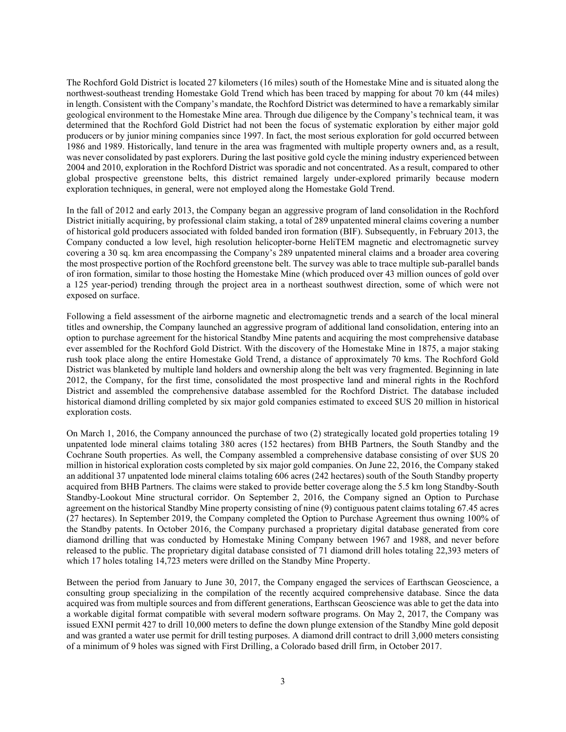The Rochford Gold District is located 27 kilometers (16 miles) south of the Homestake Mine and is situated along the northwest-southeast trending Homestake Gold Trend which has been traced by mapping for about 70 km (44 miles) in length. Consistent with the Company's mandate, the Rochford District was determined to have a remarkably similar geological environment to the Homestake Mine area. Through due diligence by the Company's technical team, it was determined that the Rochford Gold District had not been the focus of systematic exploration by either major gold producers or by junior mining companies since 1997. In fact, the most serious exploration for gold occurred between 1986 and 1989. Historically, land tenure in the area was fragmented with multiple property owners and, as a result, was never consolidated by past explorers. During the last positive gold cycle the mining industry experienced between 2004 and 2010, exploration in the Rochford District was sporadic and not concentrated. As a result, compared to other global prospective greenstone belts, this district remained largely under-explored primarily because modern exploration techniques, in general, were not employed along the Homestake Gold Trend.

In the fall of 2012 and early 2013, the Company began an aggressive program of land consolidation in the Rochford District initially acquiring, by professional claim staking, a total of 289 unpatented mineral claims covering a number of historical gold producers associated with folded banded iron formation (BIF). Subsequently, in February 2013, the Company conducted a low level, high resolution helicopter-borne HeliTEM magnetic and electromagnetic survey covering a 30 sq. km area encompassing the Company's 289 unpatented mineral claims and a broader area covering the most prospective portion of the Rochford greenstone belt. The survey was able to trace multiple sub-parallel bands of iron formation, similar to those hosting the Homestake Mine (which produced over 43 million ounces of gold over a 125 year-period) trending through the project area in a northeast southwest direction, some of which were not exposed on surface.

Following a field assessment of the airborne magnetic and electromagnetic trends and a search of the local mineral titles and ownership, the Company launched an aggressive program of additional land consolidation, entering into an option to purchase agreement for the historical Standby Mine patents and acquiring the most comprehensive database ever assembled for the Rochford Gold District. With the discovery of the Homestake Mine in 1875, a major staking rush took place along the entire Homestake Gold Trend, a distance of approximately 70 kms. The Rochford Gold District was blanketed by multiple land holders and ownership along the belt was very fragmented. Beginning in late 2012, the Company, for the first time, consolidated the most prospective land and mineral rights in the Rochford District and assembled the comprehensive database assembled for the Rochford District. The database included historical diamond drilling completed by six major gold companies estimated to exceed \$US 20 million in historical exploration costs.

On March 1, 2016, the Company announced the purchase of two (2) strategically located gold properties totaling 19 unpatented lode mineral claims totaling 380 acres (152 hectares) from BHB Partners, the South Standby and the Cochrane South properties. As well, the Company assembled a comprehensive database consisting of over \$US 20 million in historical exploration costs completed by six major gold companies. On June 22, 2016, the Company staked an additional 37 unpatented lode mineral claims totaling 606 acres (242 hectares) south of the South Standby property acquired from BHB Partners. The claims were staked to provide better coverage along the 5.5 km long Standby-South Standby-Lookout Mine structural corridor. On September 2, 2016, the Company signed an Option to Purchase agreement on the historical Standby Mine property consisting of nine (9) contiguous patent claims totaling 67.45 acres (27 hectares). In September 2019, the Company completed the Option to Purchase Agreement thus owning 100% of the Standby patents. In October 2016, the Company purchased a proprietary digital database generated from core diamond drilling that was conducted by Homestake Mining Company between 1967 and 1988, and never before released to the public. The proprietary digital database consisted of 71 diamond drill holes totaling 22,393 meters of which 17 holes totaling 14,723 meters were drilled on the Standby Mine Property.

Between the period from January to June 30, 2017, the Company engaged the services of Earthscan Geoscience, a consulting group specializing in the compilation of the recently acquired comprehensive database. Since the data acquired was from multiple sources and from different generations, Earthscan Geoscience was able to get the data into a workable digital format compatible with several modern software programs. On May 2, 2017, the Company was issued EXNI permit 427 to drill 10,000 meters to define the down plunge extension of the Standby Mine gold deposit and was granted a water use permit for drill testing purposes. A diamond drill contract to drill 3,000 meters consisting of a minimum of 9 holes was signed with First Drilling, a Colorado based drill firm, in October 2017.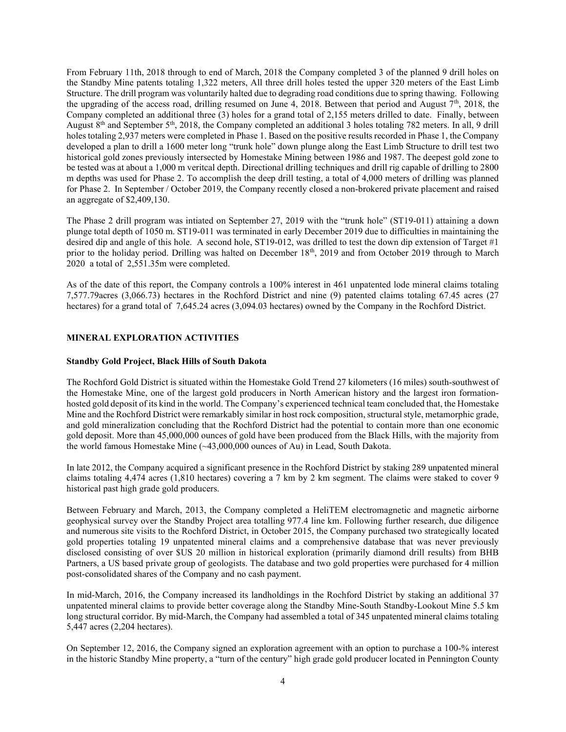From February 11th, 2018 through to end of March, 2018 the Company completed 3 of the planned 9 drill holes on the Standby Mine patents totaling 1,322 meters, All three drill holes tested the upper 320 meters of the East Limb Structure. The drill program was voluntarily halted due to degrading road conditions due to spring thawing. Following the upgrading of the access road, drilling resumed on June 4, 2018. Between that period and August 7<sup>th</sup>, 2018, the Company completed an additional three (3) holes for a grand total of 2,155 meters drilled to date. Finally, between August  $8<sup>th</sup>$  and September 5<sup>th</sup>, 2018, the Company completed an additional 3 holes totaling 782 meters. In all, 9 drill holes totaling 2,937 meters were completed in Phase 1. Based on the positive results recorded in Phase 1, the Company developed a plan to drill a 1600 meter long "trunk hole" down plunge along the East Limb Structure to drill test two historical gold zones previously intersected by Homestake Mining between 1986 and 1987. The deepest gold zone to be tested was at about a 1,000 m veritcal depth. Directional drilling techniques and drill rig capable of drilling to 2800 m depths was used for Phase 2. To accomplish the deep drill testing, a total of 4,000 meters of drilling was planned for Phase 2. In September / October 2019, the Company recently closed a non-brokered private placement and raised an aggregate of \$2,409,130.

The Phase 2 drill program was intiated on September 27, 2019 with the "trunk hole" (ST19-011) attaining a down plunge total depth of 1050 m. ST19-011 was terminated in early December 2019 due to difficulties in maintaining the desired dip and angle of this hole. A second hole, ST19-012, was drilled to test the down dip extension of Target #1 prior to the holiday period. Drilling was halted on December 18<sup>th</sup>, 2019 and from October 2019 through to March 2020 a total of 2,551.35m were completed.

As of the date of this report, the Company controls a 100% interest in 461 unpatented lode mineral claims totaling 7,577.79acres (3,066.73) hectares in the Rochford District and nine (9) patented claims totaling 67.45 acres (27 hectares) for a grand total of 7,645.24 acres (3,094.03 hectares) owned by the Company in the Rochford District.

## MINERAL EXPLORATION ACTIVITIES

#### Standby Gold Project, Black Hills of South Dakota

The Rochford Gold District is situated within the Homestake Gold Trend 27 kilometers (16 miles) south-southwest of the Homestake Mine, one of the largest gold producers in North American history and the largest iron formationhosted gold deposit of its kind in the world. The Company's experienced technical team concluded that, the Homestake Mine and the Rochford District were remarkably similar in host rock composition, structural style, metamorphic grade, and gold mineralization concluding that the Rochford District had the potential to contain more than one economic gold deposit. More than 45,000,000 ounces of gold have been produced from the Black Hills, with the majority from the world famous Homestake Mine (~43,000,000 ounces of Au) in Lead, South Dakota.

In late 2012, the Company acquired a significant presence in the Rochford District by staking 289 unpatented mineral claims totaling 4,474 acres (1,810 hectares) covering a 7 km by 2 km segment. The claims were staked to cover 9 historical past high grade gold producers.

Between February and March, 2013, the Company completed a HeliTEM electromagnetic and magnetic airborne geophysical survey over the Standby Project area totalling 977.4 line km. Following further research, due diligence and numerous site visits to the Rochford District, in October 2015, the Company purchased two strategically located gold properties totaling 19 unpatented mineral claims and a comprehensive database that was never previously disclosed consisting of over \$US 20 million in historical exploration (primarily diamond drill results) from BHB Partners, a US based private group of geologists. The database and two gold properties were purchased for 4 million post-consolidated shares of the Company and no cash payment.

In mid-March, 2016, the Company increased its landholdings in the Rochford District by staking an additional 37 unpatented mineral claims to provide better coverage along the Standby Mine-South Standby-Lookout Mine 5.5 km long structural corridor. By mid-March, the Company had assembled a total of 345 unpatented mineral claims totaling 5,447 acres (2,204 hectares).

On September 12, 2016, the Company signed an exploration agreement with an option to purchase a 100-% interest in the historic Standby Mine property, a "turn of the century" high grade gold producer located in Pennington County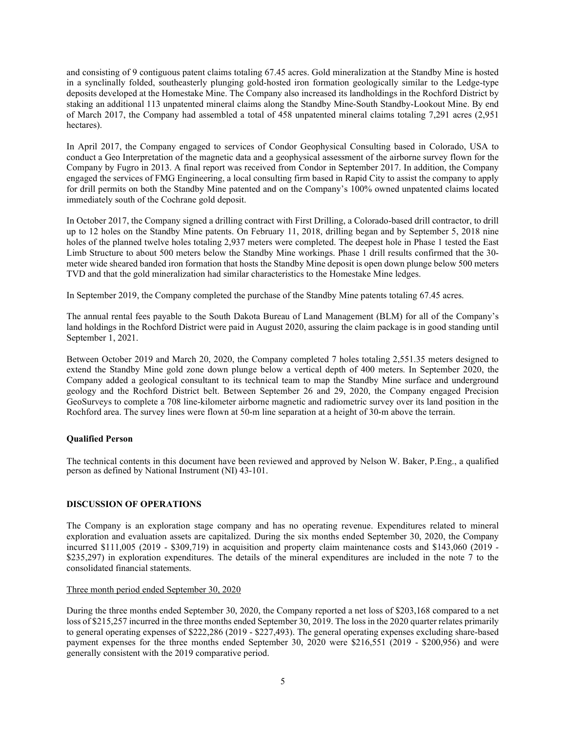and consisting of 9 contiguous patent claims totaling 67.45 acres. Gold mineralization at the Standby Mine is hosted in a synclinally folded, southeasterly plunging gold-hosted iron formation geologically similar to the Ledge-type deposits developed at the Homestake Mine. The Company also increased its landholdings in the Rochford District by staking an additional 113 unpatented mineral claims along the Standby Mine-South Standby-Lookout Mine. By end of March 2017, the Company had assembled a total of 458 unpatented mineral claims totaling 7,291 acres (2,951 hectares).

In April 2017, the Company engaged to services of Condor Geophysical Consulting based in Colorado, USA to conduct a Geo Interpretation of the magnetic data and a geophysical assessment of the airborne survey flown for the Company by Fugro in 2013. A final report was received from Condor in September 2017. In addition, the Company engaged the services of FMG Engineering, a local consulting firm based in Rapid City to assist the company to apply for drill permits on both the Standby Mine patented and on the Company's 100% owned unpatented claims located immediately south of the Cochrane gold deposit.

In October 2017, the Company signed a drilling contract with First Drilling, a Colorado-based drill contractor, to drill up to 12 holes on the Standby Mine patents. On February 11, 2018, drilling began and by September 5, 2018 nine holes of the planned twelve holes totaling 2,937 meters were completed. The deepest hole in Phase 1 tested the East Limb Structure to about 500 meters below the Standby Mine workings. Phase 1 drill results confirmed that the 30 meter wide sheared banded iron formation that hosts the Standby Mine deposit is open down plunge below 500 meters TVD and that the gold mineralization had similar characteristics to the Homestake Mine ledges.

In September 2019, the Company completed the purchase of the Standby Mine patents totaling 67.45 acres.

The annual rental fees payable to the South Dakota Bureau of Land Management (BLM) for all of the Company's land holdings in the Rochford District were paid in August 2020, assuring the claim package is in good standing until September 1, 2021.

Between October 2019 and March 20, 2020, the Company completed 7 holes totaling 2,551.35 meters designed to extend the Standby Mine gold zone down plunge below a vertical depth of 400 meters. In September 2020, the Company added a geological consultant to its technical team to map the Standby Mine surface and underground geology and the Rochford District belt. Between September 26 and 29, 2020, the Company engaged Precision GeoSurveys to complete a 708 line-kilometer airborne magnetic and radiometric survey over its land position in the Rochford area. The survey lines were flown at 50-m line separation at a height of 30-m above the terrain.

## Qualified Person

The technical contents in this document have been reviewed and approved by Nelson W. Baker, P.Eng., a qualified person as defined by National Instrument (NI) 43-101.

## DISCUSSION OF OPERATIONS

The Company is an exploration stage company and has no operating revenue. Expenditures related to mineral exploration and evaluation assets are capitalized. During the six months ended September 30, 2020, the Company incurred \$111,005 (2019 - \$309,719) in acquisition and property claim maintenance costs and \$143,060 (2019 - \$235,297) in exploration expenditures. The details of the mineral expenditures are included in the note 7 to the consolidated financial statements.

## Three month period ended September 30, 2020

During the three months ended September 30, 2020, the Company reported a net loss of \$203,168 compared to a net loss of \$215,257 incurred in the three months ended September 30, 2019. The loss in the 2020 quarter relates primarily to general operating expenses of \$222,286 (2019 - \$227,493). The general operating expenses excluding share-based payment expenses for the three months ended September 30, 2020 were \$216,551 (2019 - \$200,956) and were generally consistent with the 2019 comparative period.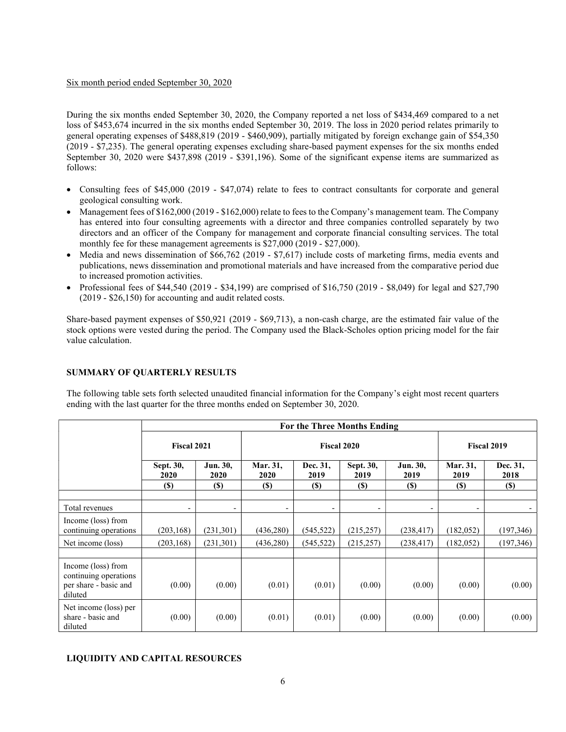#### Six month period ended September 30, 2020

During the six months ended September 30, 2020, the Company reported a net loss of \$434,469 compared to a net loss of \$453,674 incurred in the six months ended September 30, 2019. The loss in 2020 period relates primarily to general operating expenses of \$488,819 (2019 - \$460,909), partially mitigated by foreign exchange gain of \$54,350 (2019 - \$7,235). The general operating expenses excluding share-based payment expenses for the six months ended September 30, 2020 were \$437,898 (2019 - \$391,196). Some of the significant expense items are summarized as follows:

- Consulting fees of \$45,000 (2019 \$47,074) relate to fees to contract consultants for corporate and general geological consulting work.
- Management fees of \$162,000 (2019 \$162,000) relate to fees to the Company's management team. The Company has entered into four consulting agreements with a director and three companies controlled separately by two directors and an officer of the Company for management and corporate financial consulting services. The total monthly fee for these management agreements is \$27,000 (2019 - \$27,000).
- Media and news dissemination of \$66,762 (2019 \$7,617) include costs of marketing firms, media events and publications, news dissemination and promotional materials and have increased from the comparative period due to increased promotion activities.
- Professional fees of \$44,540 (2019 \$34,199) are comprised of  $$16,750$  (2019 \$8,049) for legal and \$27,790 (2019 - \$26,150) for accounting and audit related costs.

Share-based payment expenses of \$50,921 (2019 - \$69,713), a non-cash charge, are the estimated fair value of the stock options were vested during the period. The Company used the Black-Scholes option pricing model for the fair value calculation.

## SUMMARY OF QUARTERLY RESULTS

The following table sets forth selected unaudited financial information for the Company's eight most recent quarters ending with the last quarter for the three months ended on September 30, 2020.

|                                                                                 | For the Three Months Ending |                          |                         |                          |                          |                          |                          |                  |  |  |
|---------------------------------------------------------------------------------|-----------------------------|--------------------------|-------------------------|--------------------------|--------------------------|--------------------------|--------------------------|------------------|--|--|
|                                                                                 | <b>Fiscal 2021</b>          |                          | <b>Fiscal 2020</b>      |                          |                          |                          | <b>Fiscal 2019</b>       |                  |  |  |
|                                                                                 | Sept. 30,<br>2020           | Jun. 30,<br>2020         | Mar. 31,<br><b>2020</b> | Dec. 31,<br>2019         | Sept. 30,<br>2019        | Jun. 30,<br>2019         | Mar. 31,<br>2019         | Dec. 31,<br>2018 |  |  |
|                                                                                 | (S)                         | $(\$)$                   | <b>(\$)</b>             | <b>(\$)</b>              | $(S)$                    | <b>(\$)</b>              | <b>(S)</b>               | <b>(S)</b>       |  |  |
| Total revenues                                                                  | -                           | $\overline{\phantom{0}}$ |                         | $\overline{\phantom{a}}$ | $\overline{\phantom{a}}$ | $\overline{\phantom{a}}$ | $\overline{\phantom{a}}$ |                  |  |  |
| Income (loss) from<br>continuing operations                                     | (203, 168)                  | (231, 301)               | (436,280)               | (545, 522)               | (215, 257)               | (238, 417)               | (182, 052)               | (197, 346)       |  |  |
| Net income (loss)                                                               | (203, 168)                  | (231, 301)               | (436,280)               | (545, 522)               | (215, 257)               | (238, 417)               | (182, 052)               | (197, 346)       |  |  |
|                                                                                 |                             |                          |                         |                          |                          |                          |                          |                  |  |  |
| Income (loss) from<br>continuing operations<br>per share - basic and<br>diluted | (0.00)                      | (0.00)                   | (0.01)                  | (0.01)                   | (0.00)                   | (0.00)                   | (0.00)                   | (0.00)           |  |  |
| Net income (loss) per<br>share - basic and<br>diluted                           | (0.00)                      | (0.00)                   | (0.01)                  | (0.01)                   | (0.00)                   | (0.00)                   | (0.00)                   | (0.00)           |  |  |

## LIQUIDITY AND CAPITAL RESOURCES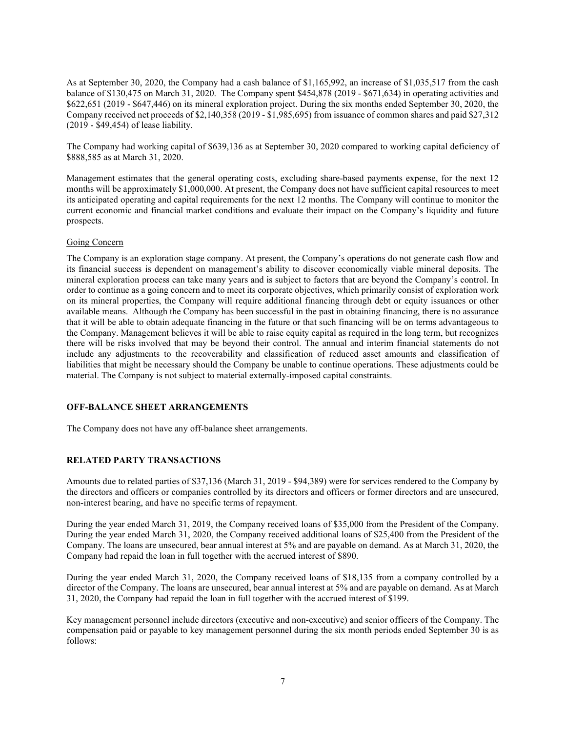As at September 30, 2020, the Company had a cash balance of \$1,165,992, an increase of \$1,035,517 from the cash balance of \$130,475 on March 31, 2020. The Company spent \$454,878 (2019 - \$671,634) in operating activities and \$622,651 (2019 - \$647,446) on its mineral exploration project. During the six months ended September 30, 2020, the Company received net proceeds of \$2,140,358 (2019 - \$1,985,695) from issuance of common shares and paid \$27,312 (2019 - \$49,454) of lease liability.

The Company had working capital of \$639,136 as at September 30, 2020 compared to working capital deficiency of \$888,585 as at March 31, 2020.

Management estimates that the general operating costs, excluding share-based payments expense, for the next 12 months will be approximately \$1,000,000. At present, the Company does not have sufficient capital resources to meet its anticipated operating and capital requirements for the next 12 months. The Company will continue to monitor the current economic and financial market conditions and evaluate their impact on the Company's liquidity and future prospects.

#### Going Concern

The Company is an exploration stage company. At present, the Company's operations do not generate cash flow and its financial success is dependent on management's ability to discover economically viable mineral deposits. The mineral exploration process can take many years and is subject to factors that are beyond the Company's control. In order to continue as a going concern and to meet its corporate objectives, which primarily consist of exploration work on its mineral properties, the Company will require additional financing through debt or equity issuances or other available means. Although the Company has been successful in the past in obtaining financing, there is no assurance that it will be able to obtain adequate financing in the future or that such financing will be on terms advantageous to the Company. Management believes it will be able to raise equity capital as required in the long term, but recognizes there will be risks involved that may be beyond their control. The annual and interim financial statements do not include any adjustments to the recoverability and classification of reduced asset amounts and classification of liabilities that might be necessary should the Company be unable to continue operations. These adjustments could be material. The Company is not subject to material externally-imposed capital constraints.

## OFF-BALANCE SHEET ARRANGEMENTS

The Company does not have any off-balance sheet arrangements.

## RELATED PARTY TRANSACTIONS

Amounts due to related parties of \$37,136 (March 31, 2019 - \$94,389) were for services rendered to the Company by the directors and officers or companies controlled by its directors and officers or former directors and are unsecured, non-interest bearing, and have no specific terms of repayment.

During the year ended March 31, 2019, the Company received loans of \$35,000 from the President of the Company. During the year ended March 31, 2020, the Company received additional loans of \$25,400 from the President of the Company. The loans are unsecured, bear annual interest at 5% and are payable on demand. As at March 31, 2020, the Company had repaid the loan in full together with the accrued interest of \$890.

During the year ended March 31, 2020, the Company received loans of \$18,135 from a company controlled by a director of the Company. The loans are unsecured, bear annual interest at 5% and are payable on demand. As at March 31, 2020, the Company had repaid the loan in full together with the accrued interest of \$199.

Key management personnel include directors (executive and non-executive) and senior officers of the Company. The compensation paid or payable to key management personnel during the six month periods ended September 30 is as follows: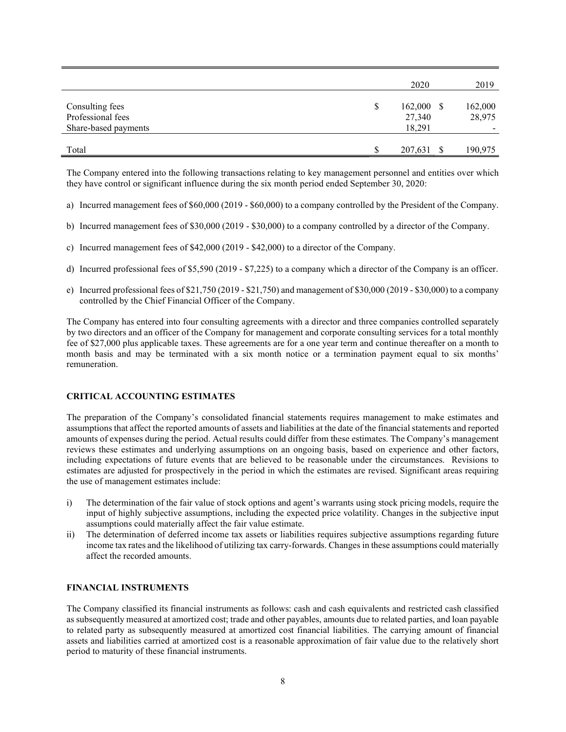|                                                              | 2020                                            | 2019              |
|--------------------------------------------------------------|-------------------------------------------------|-------------------|
| Consulting fees<br>Professional fees<br>Share-based payments | \$<br>$162,000 \text{ }$ \$<br>27,340<br>18,291 | 162,000<br>28,975 |
| Total                                                        | 207,631 \$                                      | 190,975           |

The Company entered into the following transactions relating to key management personnel and entities over which they have control or significant influence during the six month period ended September 30, 2020:

- a) Incurred management fees of \$60,000 (2019 \$60,000) to a company controlled by the President of the Company.
- b) Incurred management fees of \$30,000 (2019 \$30,000) to a company controlled by a director of the Company.
- c) Incurred management fees of \$42,000 (2019 \$42,000) to a director of the Company.
- d) Incurred professional fees of \$5,590 (2019 \$7,225) to a company which a director of the Company is an officer.
- e) Incurred professional fees of \$21,750 (2019 \$21,750) and management of \$30,000 (2019 \$30,000) to a company controlled by the Chief Financial Officer of the Company.

The Company has entered into four consulting agreements with a director and three companies controlled separately by two directors and an officer of the Company for management and corporate consulting services for a total monthly fee of \$27,000 plus applicable taxes. These agreements are for a one year term and continue thereafter on a month to month basis and may be terminated with a six month notice or a termination payment equal to six months' remuneration.

## CRITICAL ACCOUNTING ESTIMATES

The preparation of the Company's consolidated financial statements requires management to make estimates and assumptions that affect the reported amounts of assets and liabilities at the date of the financial statements and reported amounts of expenses during the period. Actual results could differ from these estimates. The Company's management reviews these estimates and underlying assumptions on an ongoing basis, based on experience and other factors, including expectations of future events that are believed to be reasonable under the circumstances. Revisions to estimates are adjusted for prospectively in the period in which the estimates are revised. Significant areas requiring the use of management estimates include:

- i) The determination of the fair value of stock options and agent's warrants using stock pricing models, require the input of highly subjective assumptions, including the expected price volatility. Changes in the subjective input assumptions could materially affect the fair value estimate.
- ii) The determination of deferred income tax assets or liabilities requires subjective assumptions regarding future income tax rates and the likelihood of utilizing tax carry-forwards. Changes in these assumptions could materially affect the recorded amounts.

#### FINANCIAL INSTRUMENTS

The Company classified its financial instruments as follows: cash and cash equivalents and restricted cash classified as subsequently measured at amortized cost; trade and other payables, amounts due to related parties, and loan payable to related party as subsequently measured at amortized cost financial liabilities. The carrying amount of financial assets and liabilities carried at amortized cost is a reasonable approximation of fair value due to the relatively short period to maturity of these financial instruments.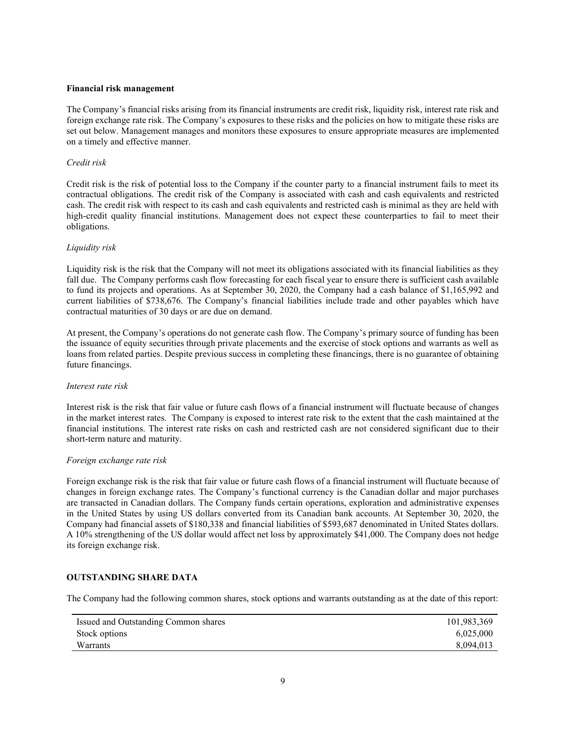#### Financial risk management

The Company's financial risks arising from its financial instruments are credit risk, liquidity risk, interest rate risk and foreign exchange rate risk. The Company's exposures to these risks and the policies on how to mitigate these risks are set out below. Management manages and monitors these exposures to ensure appropriate measures are implemented on a timely and effective manner.

#### Credit risk

Credit risk is the risk of potential loss to the Company if the counter party to a financial instrument fails to meet its contractual obligations. The credit risk of the Company is associated with cash and cash equivalents and restricted cash. The credit risk with respect to its cash and cash equivalents and restricted cash is minimal as they are held with high-credit quality financial institutions. Management does not expect these counterparties to fail to meet their obligations.

#### Liquidity risk

Liquidity risk is the risk that the Company will not meet its obligations associated with its financial liabilities as they fall due. The Company performs cash flow forecasting for each fiscal year to ensure there is sufficient cash available to fund its projects and operations. As at September 30, 2020, the Company had a cash balance of \$1,165,992 and current liabilities of \$738,676. The Company's financial liabilities include trade and other payables which have contractual maturities of 30 days or are due on demand.

At present, the Company's operations do not generate cash flow. The Company's primary source of funding has been the issuance of equity securities through private placements and the exercise of stock options and warrants as well as loans from related parties. Despite previous success in completing these financings, there is no guarantee of obtaining future financings.

#### Interest rate risk

Interest risk is the risk that fair value or future cash flows of a financial instrument will fluctuate because of changes in the market interest rates. The Company is exposed to interest rate risk to the extent that the cash maintained at the financial institutions. The interest rate risks on cash and restricted cash are not considered significant due to their short-term nature and maturity.

#### Foreign exchange rate risk

Foreign exchange risk is the risk that fair value or future cash flows of a financial instrument will fluctuate because of changes in foreign exchange rates. The Company's functional currency is the Canadian dollar and major purchases are transacted in Canadian dollars. The Company funds certain operations, exploration and administrative expenses in the United States by using US dollars converted from its Canadian bank accounts. At September 30, 2020, the Company had financial assets of \$180,338 and financial liabilities of \$593,687 denominated in United States dollars. A 10% strengthening of the US dollar would affect net loss by approximately \$41,000. The Company does not hedge its foreign exchange risk.

## OUTSTANDING SHARE DATA

The Company had the following common shares, stock options and warrants outstanding as at the date of this report:

| Issued and Outstanding Common shares | 101,983,369 |
|--------------------------------------|-------------|
| Stock options                        | 6.025,000   |
| <b>Warrants</b>                      | 8.094.013   |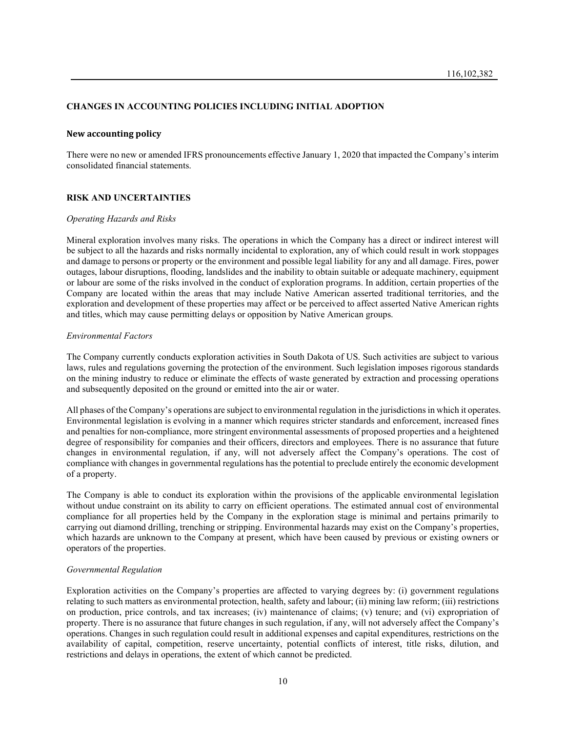#### CHANGES IN ACCOUNTING POLICIES INCLUDING INITIAL ADOPTION

#### New accounting policy

There were no new or amended IFRS pronouncements effective January 1, 2020 that impacted the Company's interim consolidated financial statements.

#### RISK AND UNCERTAINTIES

#### Operating Hazards and Risks

Mineral exploration involves many risks. The operations in which the Company has a direct or indirect interest will be subject to all the hazards and risks normally incidental to exploration, any of which could result in work stoppages and damage to persons or property or the environment and possible legal liability for any and all damage. Fires, power outages, labour disruptions, flooding, landslides and the inability to obtain suitable or adequate machinery, equipment or labour are some of the risks involved in the conduct of exploration programs. In addition, certain properties of the Company are located within the areas that may include Native American asserted traditional territories, and the exploration and development of these properties may affect or be perceived to affect asserted Native American rights and titles, which may cause permitting delays or opposition by Native American groups.

#### Environmental Factors

The Company currently conducts exploration activities in South Dakota of US. Such activities are subject to various laws, rules and regulations governing the protection of the environment. Such legislation imposes rigorous standards on the mining industry to reduce or eliminate the effects of waste generated by extraction and processing operations and subsequently deposited on the ground or emitted into the air or water.

All phases of the Company's operations are subject to environmental regulation in the jurisdictions in which it operates. Environmental legislation is evolving in a manner which requires stricter standards and enforcement, increased fines and penalties for non-compliance, more stringent environmental assessments of proposed properties and a heightened degree of responsibility for companies and their officers, directors and employees. There is no assurance that future changes in environmental regulation, if any, will not adversely affect the Company's operations. The cost of compliance with changes in governmental regulations has the potential to preclude entirely the economic development of a property.

The Company is able to conduct its exploration within the provisions of the applicable environmental legislation without undue constraint on its ability to carry on efficient operations. The estimated annual cost of environmental compliance for all properties held by the Company in the exploration stage is minimal and pertains primarily to carrying out diamond drilling, trenching or stripping. Environmental hazards may exist on the Company's properties, which hazards are unknown to the Company at present, which have been caused by previous or existing owners or operators of the properties.

#### Governmental Regulation

Exploration activities on the Company's properties are affected to varying degrees by: (i) government regulations relating to such matters as environmental protection, health, safety and labour; (ii) mining law reform; (iii) restrictions on production, price controls, and tax increases; (iv) maintenance of claims; (v) tenure; and (vi) expropriation of property. There is no assurance that future changes in such regulation, if any, will not adversely affect the Company's operations. Changes in such regulation could result in additional expenses and capital expenditures, restrictions on the availability of capital, competition, reserve uncertainty, potential conflicts of interest, title risks, dilution, and restrictions and delays in operations, the extent of which cannot be predicted.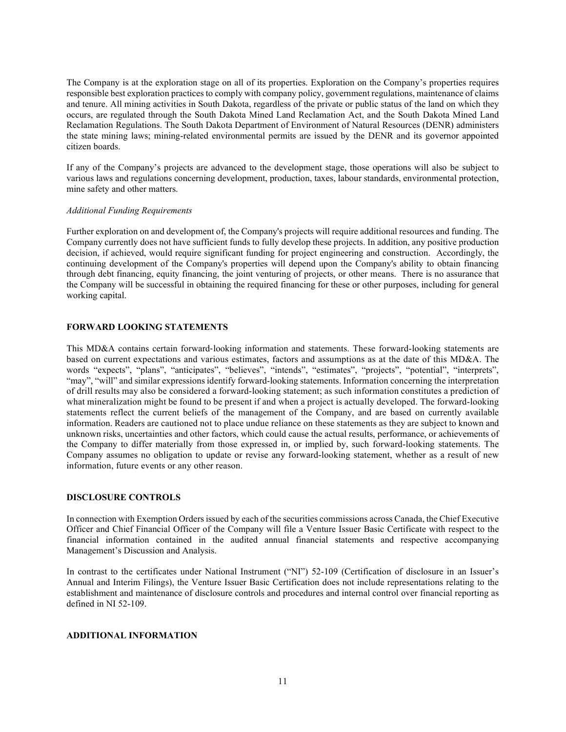The Company is at the exploration stage on all of its properties. Exploration on the Company's properties requires responsible best exploration practices to comply with company policy, government regulations, maintenance of claims and tenure. All mining activities in South Dakota, regardless of the private or public status of the land on which they occurs, are regulated through the South Dakota Mined Land Reclamation Act, and the South Dakota Mined Land Reclamation Regulations. The South Dakota Department of Environment of Natural Resources (DENR) administers the state mining laws; mining-related environmental permits are issued by the DENR and its governor appointed citizen boards.

If any of the Company's projects are advanced to the development stage, those operations will also be subject to various laws and regulations concerning development, production, taxes, labour standards, environmental protection, mine safety and other matters.

#### Additional Funding Requirements

Further exploration on and development of, the Company's projects will require additional resources and funding. The Company currently does not have sufficient funds to fully develop these projects. In addition, any positive production decision, if achieved, would require significant funding for project engineering and construction. Accordingly, the continuing development of the Company's properties will depend upon the Company's ability to obtain financing through debt financing, equity financing, the joint venturing of projects, or other means. There is no assurance that the Company will be successful in obtaining the required financing for these or other purposes, including for general working capital.

#### FORWARD LOOKING STATEMENTS

This MD&A contains certain forward‐looking information and statements. These forward-looking statements are based on current expectations and various estimates, factors and assumptions as at the date of this MD&A. The words "expects", "plans", "anticipates", "believes", "intends", "estimates", "projects", "potential", "interprets", "may", "will" and similar expressions identify forward-looking statements. Information concerning the interpretation of drill results may also be considered a forward-looking statement; as such information constitutes a prediction of what mineralization might be found to be present if and when a project is actually developed. The forward-looking statements reflect the current beliefs of the management of the Company, and are based on currently available information. Readers are cautioned not to place undue reliance on these statements as they are subject to known and unknown risks, uncertainties and other factors, which could cause the actual results, performance, or achievements of the Company to differ materially from those expressed in, or implied by, such forward-looking statements. The Company assumes no obligation to update or revise any forward-looking statement, whether as a result of new information, future events or any other reason.

#### DISCLOSURE CONTROLS

In connection with Exemption Orders issued by each of the securities commissions across Canada, the Chief Executive Officer and Chief Financial Officer of the Company will file a Venture Issuer Basic Certificate with respect to the financial information contained in the audited annual financial statements and respective accompanying Management's Discussion and Analysis.

In contrast to the certificates under National Instrument ("NI") 52-109 (Certification of disclosure in an Issuer's Annual and Interim Filings), the Venture Issuer Basic Certification does not include representations relating to the establishment and maintenance of disclosure controls and procedures and internal control over financial reporting as defined in NI 52-109.

## ADDITIONAL INFORMATION